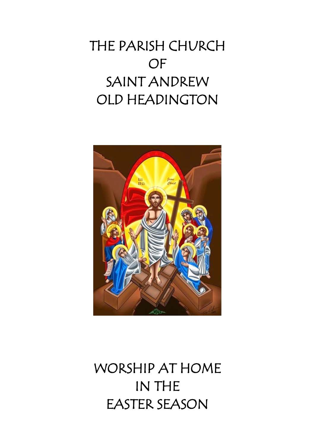# THE PARISH CHURCH OF SAINT ANDREW OLD HEADINGTON



WORSHIP AT HOME IN THE EASTER SEASON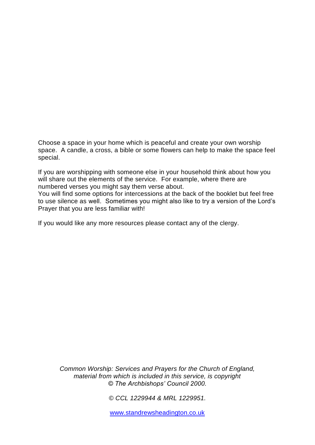Choose a space in your home which is peaceful and create your own worship space. A candle, a cross, a bible or some flowers can help to make the space feel special.

If you are worshipping with someone else in your household think about how you will share out the elements of the service. For example, where there are numbered verses you might say them verse about.

You will find some options for intercessions at the back of the booklet but feel free to use silence as well. Sometimes you might also like to try a version of the Lord's Prayer that you are less familiar with!

If you would like any more resources please contact any of the clergy.

*Common Worship: Services and Prayers for the Church of England, material from which is included in this service, is copyright © The Archbishops' Council 2000.*

*© CCL 1229944 & MRL 1229951.*

[www.standrewsheadington.co.uk](http://www.standrewsheadington.co.uk/)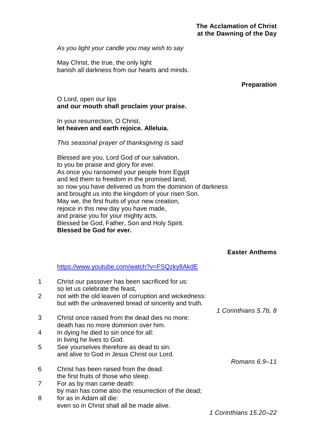*As you light your candle you may wish to say*

May Christ, the true, the only light banish all darkness from our hearts and minds.

#### **Preparation**

## O Lord, open our lips **and our mouth shall proclaim your praise.**

#### In your resurrection, O Christ, **let heaven and earth rejoice. Alleluia.**

#### *This seasonal prayer of thanksgiving is said*

Blessed are you, Lord God of our salvation, to you be praise and glory for ever. As once you ransomed your people from Egypt and led them to freedom in the promised land, so now you have delivered us from the dominion of darkness and brought us into the kingdom of your risen Son. May we, the first fruits of your new creation, rejoice in this new day you have made, and praise you for your mighty acts. Blessed be God, Father, Son and Holy Spirit. **Blessed be God for ever.**

## **Easter Anthems**

#### <https://www.youtube.com/watch?v=FSQzky8AkdE>

| 1 | Christ our passover has been sacrificed for us:<br>so let us celebrate the feast,                              |                        |
|---|----------------------------------------------------------------------------------------------------------------|------------------------|
| 2 | not with the old leaven of corruption and wickedness:<br>but with the unleavened bread of sincerity and truth. |                        |
|   |                                                                                                                | 1 Corinthians 5.7b, 8  |
| 3 | Christ once raised from the dead dies no more:<br>death has no more dominion over him.                         |                        |
| 4 | In dying he died to sin once for all:<br>in living he lives to God.                                            |                        |
| 5 | See yourselves therefore as dead to sin:<br>and alive to God in Jesus Christ our Lord.                         |                        |
|   |                                                                                                                | Romans 6.9-11          |
| 6 | Christ has been raised from the dead:<br>the first fruits of those who sleep.                                  |                        |
| 7 | For as by man came death:<br>by man has come also the resurrection of the dead;                                |                        |
| 8 | for as in Adam all die:                                                                                        |                        |
|   | even so in Christ shall all be made alive.                                                                     |                        |
|   |                                                                                                                | 1 Corinthians 15.20–22 |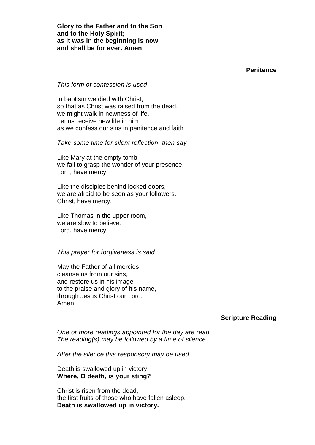**Glory to the Father and to the Son and to the Holy Spirit; as it was in the beginning is now and shall be for ever. Amen**

**Penitence**

#### *This form of confession is used*

In baptism we died with Christ, so that as Christ was raised from the dead, we might walk in newness of life. Let us receive new life in him as we confess our sins in penitence and faith

*Take some time for silent reflection, then say*

Like Mary at the empty tomb, we fail to grasp the wonder of your presence. Lord, have mercy.

Like the disciples behind locked doors, we are afraid to be seen as your followers. Christ, have mercy.

Like Thomas in the upper room, we are slow to believe. Lord, have mercy.

#### *This prayer for forgiveness is said*

May the Father of all mercies cleanse us from our sins, and restore us in his image to the praise and glory of his name, through Jesus Christ our Lord. Amen.

#### **Scripture Reading**

*One or more readings appointed for the day are read. The reading(s) may be followed by a time of silence.*

*After the silence this responsory may be used*

Death is swallowed up in victory. **Where, O death, is your sting?**

Christ is risen from the dead, the first fruits of those who have fallen asleep. **Death is swallowed up in victory.**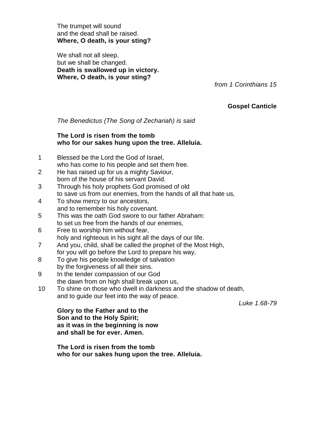The trumpet will sound and the dead shall be raised. **Where, O death, is your sting?**

We shall not all sleep, but we shall be changed. **Death is swallowed up in victory. Where, O death, is your sting?**

*from 1 Corinthians 15*

## **Gospel Canticle**

*The Benedictus (The Song of Zechariah) is said*

## **The Lord is risen from the tomb who for our sakes hung upon the tree. Alleluia.**

- 1 Blessed be the Lord the God of Israel, who has come to his people and set them free.
- 2 He has raised up for us a mighty Saviour, born of the house of his servant David.
- 3 Through his holy prophets God promised of old to save us from our enemies, from the hands of all that hate us,
- 4 To show mercy to our ancestors, and to remember his holy covenant.
- 5 This was the oath God swore to our father Abraham: to set us free from the hands of our enemies,
- 6 Free to worship him without fear, holy and righteous in his sight all the days of our life.
- 7 And you, child, shall be called the prophet of the Most High, for you will go before the Lord to prepare his way,
- 8 To give his people knowledge of salvation by the forgiveness of all their sins.
- 9 In the tender compassion of our God the dawn from on high shall break upon us,
- 10 To shine on those who dwell in darkness and the shadow of death, and to guide our feet into the way of peace.

*Luke 1.68-79*

**Glory to the Father and to the Son and to the Holy Spirit; as it was in the beginning is now and shall be for ever. Amen.**

**The Lord is risen from the tomb who for our sakes hung upon the tree. Alleluia.**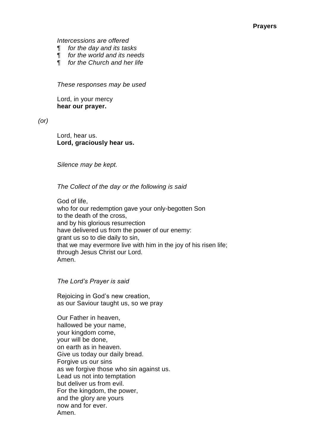*Intercessions are offered*

- ¶ *for the day and its tasks*
- ¶ *for the world and its needs*
- ¶ *for the Church and her life*

*These responses may be used*

Lord, in your mercy **hear our prayer.**

*(or)*

Lord, hear us. **Lord, graciously hear us.**

*Silence may be kept.*

*The Collect of the day or the following is said*

God of life, who for our redemption gave your only-begotten Son to the death of the cross, and by his glorious resurrection have delivered us from the power of our enemy: grant us so to die daily to sin, that we may evermore live with him in the joy of his risen life; through Jesus Christ our Lord. Amen.

*The Lord's Prayer is said*

Rejoicing in God's new creation, as our Saviour taught us, so we pray

Our Father in heaven, hallowed be your name, your kingdom come, your will be done, on earth as in heaven. Give us today our daily bread. Forgive us our sins as we forgive those who sin against us. Lead us not into temptation but deliver us from evil. For the kingdom, the power, and the glory are yours now and for ever. Amen.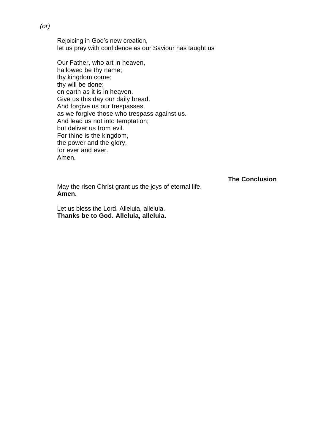Rejoicing in God's new creation, let us pray with confidence as our Saviour has taught us

Our Father, who art in heaven, hallowed be thy name; thy kingdom come; thy will be done; on earth as it is in heaven. Give us this day our daily bread. And forgive us our trespasses, as we forgive those who trespass against us. And lead us not into temptation; but deliver us from evil. For thine is the kingdom, the power and the glory, for ever and ever. Amen.

**The Conclusion**

May the risen Christ grant us the joys of eternal life. **Amen.**

Let us bless the Lord. Alleluia, alleluia. **Thanks be to God. Alleluia, alleluia.**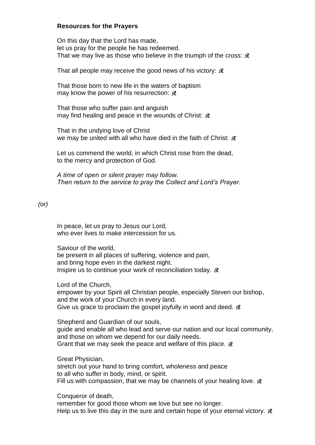#### **Resources for the Prayers**

On this day that the Lord has made, let us pray for the people he has redeemed. That we may live as those who believe in the triumph of the cross:  $\Re$ 

That all people may receive the good news of his victory:  $\Re$ 

That those born to new life in the waters of baptism may know the power of his resurrection:  $\Re$ 

That those who suffer pain and anguish may find healing and peace in the wounds of Christ:  $\mathcal{R}$ 

That in the undying love of Christ we may be united with all who have died in the faith of Christ:  $\Re$ 

Let us commend the world, in which Christ rose from the dead, to the mercy and protection of God.

*A time of open or silent prayer may follow. Then return to the service to pray the Collect and Lord's Prayer.*

### *(or)*

In peace, let us pray to Jesus our Lord, who ever lives to make intercession for us.

Saviour of the world, be present in all places of suffering, violence and pain, and bring hope even in the darkest night. Inspire us to continue your work of reconciliation today.  $\mathcal{R}$ 

Lord of the Church,

empower by your Spirit all Christian people, especially Steven our bishop, and the work of your Church in every land. Give us grace to proclaim the gospel joyfully in word and deed.  $\Re$ 

Shepherd and Guardian of our souls, guide and enable all who lead and serve our nation and our local community, and those on whom we depend for our daily needs. Grant that we may seek the peace and welfare of this place.  $\Re$ 

Great Physician,

stretch out your hand to bring comfort, wholeness and peace to all who suffer in body, mind, or spirit. Fill us with compassion, that we may be channels of your healing love.  $\Re$ 

Conqueror of death,

remember for good those whom we love but see no longer. Help us to live this day in the sure and certain hope of your eternal victory.  $\Re$